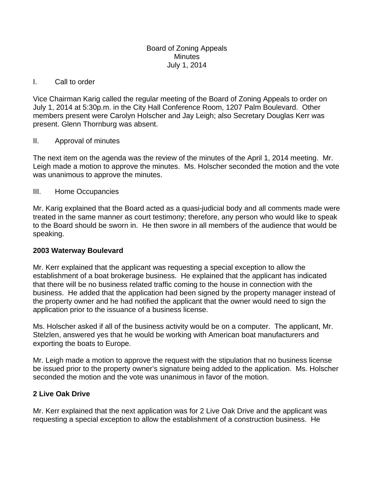#### Board of Zoning Appeals **Minutes** July 1, 2014

#### I. Call to order

Vice Chairman Karig called the regular meeting of the Board of Zoning Appeals to order on July 1, 2014 at 5:30p.m. in the City Hall Conference Room, 1207 Palm Boulevard. Other members present were Carolyn Holscher and Jay Leigh; also Secretary Douglas Kerr was present. Glenn Thornburg was absent.

## II. Approval of minutes

The next item on the agenda was the review of the minutes of the April 1, 2014 meeting. Mr. Leigh made a motion to approve the minutes. Ms. Holscher seconded the motion and the vote was unanimous to approve the minutes.

## III. Home Occupancies

Mr. Karig explained that the Board acted as a quasi-judicial body and all comments made were treated in the same manner as court testimony; therefore, any person who would like to speak to the Board should be sworn in. He then swore in all members of the audience that would be speaking.

# **2003 Waterway Boulevard**

Mr. Kerr explained that the applicant was requesting a special exception to allow the establishment of a boat brokerage business. He explained that the applicant has indicated that there will be no business related traffic coming to the house in connection with the business. He added that the application had been signed by the property manager instead of the property owner and he had notified the applicant that the owner would need to sign the application prior to the issuance of a business license.

Ms. Holscher asked if all of the business activity would be on a computer. The applicant, Mr. Stelzlen, answered yes that he would be working with American boat manufacturers and exporting the boats to Europe.

Mr. Leigh made a motion to approve the request with the stipulation that no business license be issued prior to the property owner's signature being added to the application. Ms. Holscher seconded the motion and the vote was unanimous in favor of the motion.

# **2 Live Oak Drive**

Mr. Kerr explained that the next application was for 2 Live Oak Drive and the applicant was requesting a special exception to allow the establishment of a construction business. He